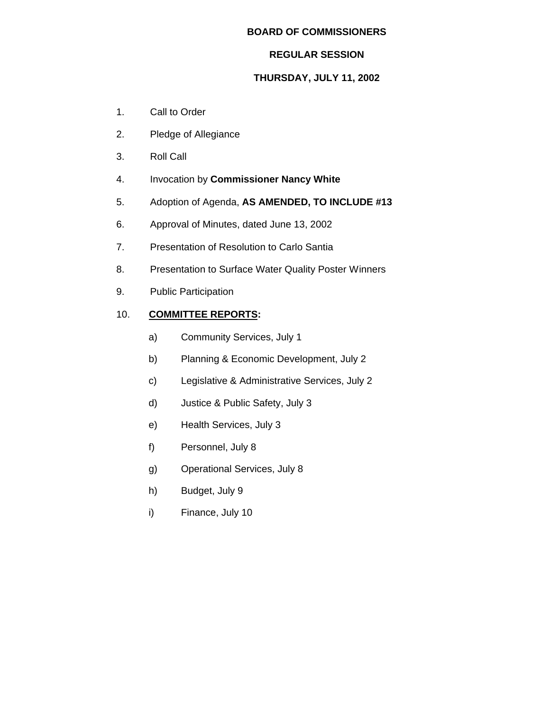## **BOARD OF COMMISSIONERS**

## **REGULAR SESSION**

# **THURSDAY, JULY 11, 2002**

- 1. Call to Order
- 2. Pledge of Allegiance
- 3. Roll Call
- 4. Invocation by **Commissioner Nancy White**
- 5. Adoption of Agenda, **AS AMENDED, TO INCLUDE #13**
- 6. Approval of Minutes, dated June 13, 2002
- 7. Presentation of Resolution to Carlo Santia
- 8. Presentation to Surface Water Quality Poster Winners
- 9. Public Participation

# 10. **COMMITTEE REPORTS:**

- a) Community Services, July 1
- b) Planning & Economic Development, July 2
- c) Legislative & Administrative Services, July 2
- d) Justice & Public Safety, July 3
- e) Health Services, July 3
- f) Personnel, July 8
- g) Operational Services, July 8
- h) Budget, July 9
- i) Finance, July 10